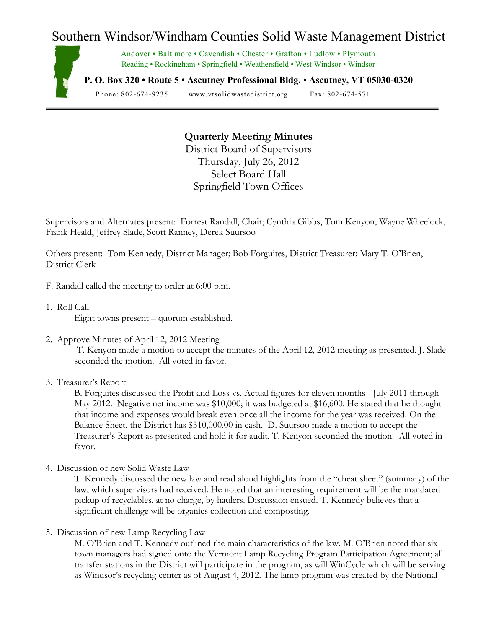## Southern Windsor/Windham Counties Solid Waste Management District



Andover • Baltimore • Cavendish • Chester • Grafton • Ludlow • Plymouth Reading • Rockingham • Springfield • Weathersfield • West Windsor • Windsor

**P. O. Box 320 • Route 5 • Ascutney Professional Bldg.** • **Ascutney, VT 05030-0320**

Phone: 802-674-9235 www.vtsolidwastedistrict.org Fax: 802-674-5711

## **Quarterly Meeting Minutes**

District Board of Supervisors Thursday, July 26, 2012 Select Board Hall Springfield Town Offices

Supervisors and Alternates present: Forrest Randall, Chair; Cynthia Gibbs, Tom Kenyon, Wayne Wheelock, Frank Heald, Jeffrey Slade, Scott Ranney, Derek Suursoo

Others present: Tom Kennedy, District Manager; Bob Forguites, District Treasurer; Mary T. O'Brien, District Clerk

- F. Randall called the meeting to order at 6:00 p.m.
- 1. Roll Call Eight towns present – quorum established.
- 2. Approve Minutes of April 12, 2012 Meeting

T. Kenyon made a motion to accept the minutes of the April 12, 2012 meeting as presented. J. Slade seconded the motion. All voted in favor.

3. Treasurer's Report

B. Forguites discussed the Profit and Loss vs. Actual figures for eleven months - July 2011 through May 2012. Negative net income was \$10,000; it was budgeted at \$16,600. He stated that he thought that income and expenses would break even once all the income for the year was received. On the Balance Sheet, the District has \$510,000.00 in cash. D. Suursoo made a motion to accept the Treasurer's Report as presented and hold it for audit. T. Kenyon seconded the motion. All voted in favor.

4. Discussion of new Solid Waste Law

T. Kennedy discussed the new law and read aloud highlights from the "cheat sheet" (summary) of the law, which supervisors had received. He noted that an interesting requirement will be the mandated pickup of recyclables, at no charge, by haulers. Discussion ensued. T. Kennedy believes that a significant challenge will be organics collection and composting.

5. Discussion of new Lamp Recycling Law

M. O'Brien and T. Kennedy outlined the main characteristics of the law. M. O'Brien noted that six town managers had signed onto the Vermont Lamp Recycling Program Participation Agreement; all transfer stations in the District will participate in the program, as will WinCycle which will be serving as Windsor's recycling center as of August 4, 2012. The lamp program was created by the National